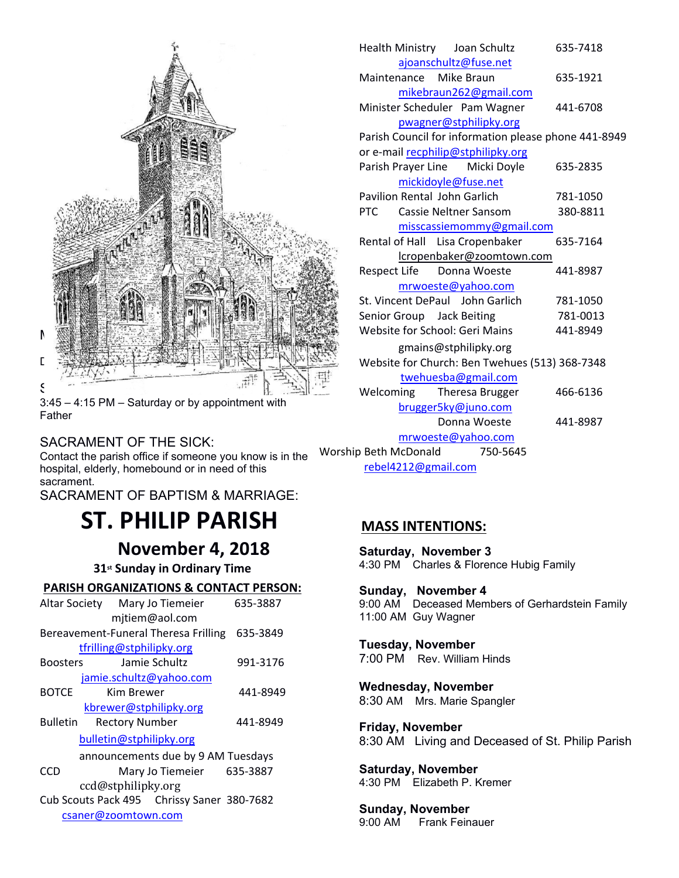

3:45 – 4:15 PM – Saturday or by appointment with Father

## SACRAMENT OF THE SICK:

Contact the parish office if someone you know is in the Worsh hospital, elderly, homebound or in need of this sacrament.

SACRAMENT OF BAPTISM & MARRIAGE:

# **ST. PHILIP PARISH**

 **November 4, 2018**

 **31st Sunday in Ordinary Time**

#### **PARISH ORGANIZATIONS & CONTACT PERSON:**

|                                                                   | Altar Society Mary Jo Tiemeier<br>mjtiem@aol.com                                      | 635-3887 | 9:00 AM<br>11:00 AN       |
|-------------------------------------------------------------------|---------------------------------------------------------------------------------------|----------|---------------------------|
| Bereavement-Funeral Theresa Frilling<br>tfrilling@stphilipky.org  | Tuesda                                                                                |          |                           |
| <b>Boosters</b>                                                   | Jamie Schultz                                                                         | 991-3176 | 7:00 PM                   |
| <b>BOTCE</b>                                                      | jamie.schultz@yahoo.com<br>Kim Brewer<br>kbrewer@stphilipky.org                       | 441-8949 | <b>Wednes</b><br>8:30 AM  |
| <b>Bulletin</b>                                                   | <b>Rectory Number</b><br>bulletin@stphilipky.org                                      | 441-8949 | Friday,<br>8:30 AM        |
| <b>CCD</b>                                                        | announcements due by 9 AM Tuesdays<br>Mary Jo Tiemeier 635-3887<br>ccd@stphilipky.org |          | <b>Saturda</b><br>4:30 PM |
| Cub Scouts Pack 495 Chrissy Saner 380-7682<br>csaner@zoomtown.com | <b>Sunday</b><br>$Q \cdot \cap \cap \Delta M$                                         |          |                           |

|                       |                                                          |  | Health Ministry Joan Schultz       | 635-7418 |  |  |  |  |
|-----------------------|----------------------------------------------------------|--|------------------------------------|----------|--|--|--|--|
| ajoanschultz@fuse.net |                                                          |  |                                    |          |  |  |  |  |
|                       | Maintenance                                              |  | Mike Braun                         | 635-1921 |  |  |  |  |
|                       |                                                          |  | mikebraun262@gmail.com             |          |  |  |  |  |
|                       |                                                          |  | Minister Scheduler Pam Wagner      | 441-6708 |  |  |  |  |
|                       |                                                          |  | pwagner@stphilipky.org             |          |  |  |  |  |
|                       | Parish Council for information please phone 441-8949     |  |                                    |          |  |  |  |  |
|                       |                                                          |  | or e-mail recphilip@stphilipky.org |          |  |  |  |  |
|                       |                                                          |  | Parish Prayer Line Micki Doyle     | 635-2835 |  |  |  |  |
|                       |                                                          |  | mickidoyle@fuse.net                |          |  |  |  |  |
|                       | Pavilion Rental John Garlich                             |  |                                    | 781-1050 |  |  |  |  |
|                       | <b>PTC</b>                                               |  | Cassie Neltner Sansom              | 380-8811 |  |  |  |  |
|                       |                                                          |  | misscassiemommy@gmail.com          |          |  |  |  |  |
|                       |                                                          |  | Rental of Hall Lisa Cropenbaker    | 635-7164 |  |  |  |  |
|                       |                                                          |  | lcropenbaker@zoomtown.com          |          |  |  |  |  |
|                       | Respect Life                                             |  | Donna Woeste                       | 441-8987 |  |  |  |  |
|                       |                                                          |  | mrwoeste@yahoo.com                 |          |  |  |  |  |
|                       |                                                          |  | St. Vincent DePaul John Garlich    | 781-1050 |  |  |  |  |
|                       | Senior Group Jack Beiting                                |  |                                    | 781-0013 |  |  |  |  |
|                       |                                                          |  | Website for School: Geri Mains     | 441-8949 |  |  |  |  |
|                       | gmains@stphilipky.org                                    |  |                                    |          |  |  |  |  |
|                       | Website for Church: Ben Twehues (513) 368-7348           |  |                                    |          |  |  |  |  |
|                       |                                                          |  | twehuesba@gmail.com                |          |  |  |  |  |
|                       | Welcoming                                                |  | Theresa Brugger                    | 466-6136 |  |  |  |  |
|                       |                                                          |  | brugger5ky@juno.com                |          |  |  |  |  |
|                       |                                                          |  | Donna Woeste                       | 441-8987 |  |  |  |  |
|                       |                                                          |  | mrwoeste@yahoo.com                 |          |  |  |  |  |
|                       | Worship Beth McDonald<br>750-5645<br>rebel4212@gmail.com |  |                                    |          |  |  |  |  |
|                       |                                                          |  |                                    |          |  |  |  |  |

## **MASS INTENTIONS:**

**Saturday, November 3** 4:30 PM Charles & Florence Hubig Family

**Sunday, November 4** 9:00 AM Deceased Members of Gerhardstein Family 11:00 AM Guy Wagner

#### **Tuesday, November** 7:00 PM Rev. William Hinds

**Wednesday, November**

8:30 AM Mrs. Marie Spangler

**Friday, November**  8:30 AMLiving and Deceased of St. Philip Parish

**Saturday, November** 4:30 PM Elizabeth P. Kremer

## **Sunday, November**

9:00 AM Frank Feinauer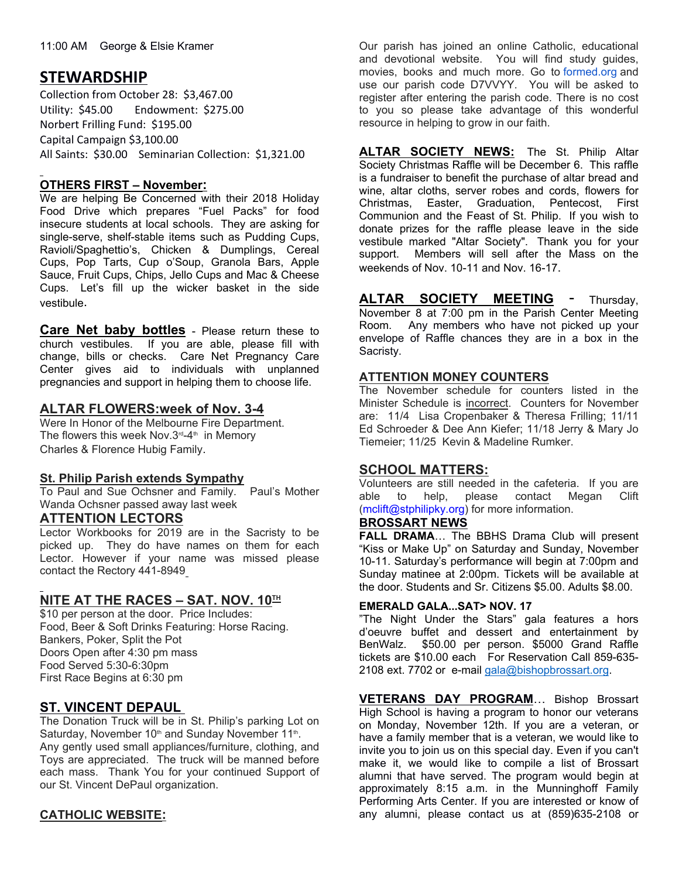## **STEWARDSHIP**

Collection from October 28: \$3,467.00 Utility: \$45.00 Endowment: \$275.00 Norbert Frilling Fund: \$195.00 Capital Campaign \$3,100.00 All Saints: \$30.00 Seminarian Collection: \$1,321.00

## **OTHERS FIRST – November:**

We are helping Be Concerned with their 2018 Holiday Food Drive which prepares "Fuel Packs" for food insecure students at local schools. They are asking for single-serve, shelf-stable items such as Pudding Cups, Ravioli/Spaghettio's, Chicken & Dumplings, Cereal support. Cups, Pop Tarts, Cup o'Soup, Granola Bars, Apple Sauce, Fruit Cups, Chips, Jello Cups and Mac & Cheese Cups. Let's fill up the wicker basket in the side vestibule.

**Care Net baby bottles** - Please return these to church vestibules. If you are able, please fill with change, bills or checks. Care Net Pregnancy Care state Center gives aid to individuals with unplanned pregnancies and support in helping them to choose life.

## **ALTAR FLOWERS:week of Nov. 3-4**

Were In Honor of the Melbourne Fire Department. The flowers this week Nov.  $3<sup>rd</sup> - 4<sup>th</sup>$  in Memory Charles & Florence Hubig Family.

## **St. Philip Parish extends Sympathy**

To Paul and Sue Ochsner and Family. Paul's Mother able to help. Wanda Ochsner passed away last week

## **ATTENTION LECTORS**

Lector Workbooks for 2019 are in the Sacristy to be picked up. They do have names on them for each Lector. However if your name was missed please contact the Rectory 441-8949

## **NITE AT THE RACES – SAT. NOV. 10TH**

\$10 per person at the door. Price Includes: Food, Beer & Soft Drinks Featuring: Horse Racing. Bankers, Poker, Split the Pot Doors Open after 4:30 pm mass Food Served 5:30-6:30pm First Race Begins at 6:30 pm

## **ST. VINCENT DEPAUL**

The Donation Truck will be in St. Philip's parking Lot on Saturday, November  $10<sup>th</sup>$  and Sunday November  $11<sup>th</sup>$ . . Any gently used small appliances/furniture, clothing, and Toys are appreciated. The truck will be manned before each mass. Thank You for your continued Support of our St. Vincent DePaul organization.

## **CATHOLIC WEBSITE:**

Our parish has joined an online Catholic, educational and devotional website. You will find study guides, movies, books and much more. Go to formed.org and use our parish code D7VVYY. You will be asked to register after entering the parish code. There is no cost to you so please take advantage of this wonderful resource in helping to grow in our faith.

**ALTAR SOCIETY NEWS:** The St. Philip Altar Society Christmas Raffle will be December 6. This raffle is a fundraiser to benefit the purchase of altar bread and wine, altar cloths, server robes and cords, flowers for Christmas, Easter, Graduation, Pentecost, First Communion and the Feast of St. Philip. If you wish to donate prizes for the raffle please leave in the side vestibule marked "Altar Society". Thank you for your Members will sell after the Mass on the weekends of Nov. 10-11 and Nov. 16-17.

**ALTAR SOCIETY MEETING** - Thursday, November 8 at 7:00 pm in the Parish Center Meeting Room. Any members who have not picked up your envelope of Raffle chances they are in a box in the Sacristy.

## **ATTENTION MONEY COUNTERS**

The November schedule for counters listed in the Minister Schedule is incorrect. Counters for November are: 11/4 Lisa Cropenbaker & Theresa Frilling; 11/11 Ed Schroeder & Dee Ann Kiefer; 11/18 Jerry & Mary Jo Tiemeier; 11/25 Kevin & Madeline Rumker.

## **SCHOOL MATTERS:**

Volunteers are still needed in the cafeteria. If you are please contact Megan Clift (mclift@stphilipky.org) for more information.

## **BROSSART NEWS**

**FALL DRAMA**… The BBHS Drama Club will present "Kiss or Make Up" on Saturday and Sunday, November 10-11. Saturday's performance will begin at 7:00pm and Sunday matinee at 2:00pm. Tickets will be available at the door. Students and Sr. Citizens \$5.00. Adults \$8.00.

#### **EMERALD GALA...SAT> NOV. 17**

"The Night Under the Stars" gala features a hors d'oeuvre buffet and dessert and entertainment by BenWalz. \$50.00 per person. \$5000 Grand Raffle tickets are \$10.00 each For Reservation Call 859-635- 2108 ext. 7702 or e-mail gala@bishopbrossart.org.

**VETERANS DAY PROGRAM**… Bishop Brossart High School is having a program to honor our veterans on Monday, November 12th. If you are a veteran, or have a family member that is a veteran, we would like to invite you to join us on this special day. Even if you can't make it, we would like to compile a list of Brossart alumni that have served. The program would begin at approximately 8:15 a.m. in the Munninghoff Family Performing Arts Center. If you are interested or know of any alumni, please contact us at (859)635-2108 or